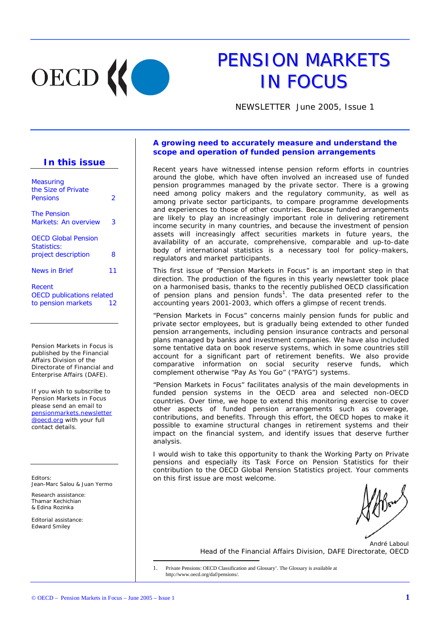

# PENSION MARKETS **IN FOCUS**

NEWSLETTER June 2005, Issue 1

## **In this issue**

| Measuring<br>the Size of Private          |    |
|-------------------------------------------|----|
| Pensions                                  | 2  |
| <i>The Pension</i>                        |    |
| Markets: An overview                      | 3  |
| <b>OECD Global Pension</b>                |    |
| <i>Statistics:</i><br>project description | 8  |
|                                           |    |
| <b>News in Brief</b>                      | 11 |
| Recent                                    |    |
| <b>OECD</b> publications related          |    |
| to pension markets                        | 12 |

Pension Markets in Focus is published by the Financial Affairs Division of the Directorate of Financial and Enterprise Affairs (DAFE).

If you wish to subscribe to Pension Markets in Focus please send an email to pensionmarkets.newsletter @oecd.org with your full contact details.

*Editors:*  Jean-Marc Salou & Juan Yermo

*Research assistance:* Thamar Kechichian & Edina Rozinka

*Editorial assistance:* Edward Smiley

## **A growing need to accurately measure and understand the scope and operation of funded pension arrangements**

Recent years have witnessed intense pension reform efforts in countries around the globe, which have often involved an increased use of funded pension programmes managed by the private sector. There is a growing need among policy makers and the regulatory community, as well as among private sector participants, to compare programme developments and experiences to those of other countries. Because funded arrangements are likely to play an increasingly important role in delivering retirement income security in many countries, and because the investment of pension assets will increasingly affect securities markets in future years, the availability of an accurate, comprehensive, comparable and up-to-date body of international statistics is a necessary tool for policy-makers, regulators and market participants.

This first issue of "Pension Markets in Focus" is an important step in that direction. The production of the figures in this yearly newsletter took place on a harmonised basis, thanks to the recently published OECD classification of pension plans and pension funds<sup>1</sup>. The data presented refer to the accounting years 2001-2003, which offers a glimpse of recent trends.

"Pension Markets in Focus" concerns mainly pension funds for public and private sector employees, but is gradually being extended to other funded pension arrangements, including pension insurance contracts and personal plans managed by banks and investment companies. We have also included some tentative data on book reserve systems, which in some countries still account for a significant part of retirement benefits. We also provide comparative information on social security reserve funds, which complement otherwise "Pay As You Go" ("PAYG") systems.

"Pension Markets in Focus" facilitates analysis of the main developments in funded pension systems in the OECD area and selected non-OECD countries. Over time, we hope to extend this monitoring exercise to cover other aspects of funded pension arrangements such as coverage, contributions, and benefits. Through this effort, the OECD hopes to make it possible to examine structural changes in retirement systems and their impact on the financial system, and identify issues that deserve further analysis.

I would wish to take this opportunity to thank the Working Party on Private pensions and especially its Task Force on Pension Statistics for their contribution to the OECD Global Pension Statistics project. Your comments on this first issue are most welcome.

*André Laboul Head of the Financial Affairs Division, DAFE Directorate, OECD* 

1. Private Pensions: OECD Classification and Glossary'. The Glossary is available at http://www.oecd.org/daf/pensions/.

l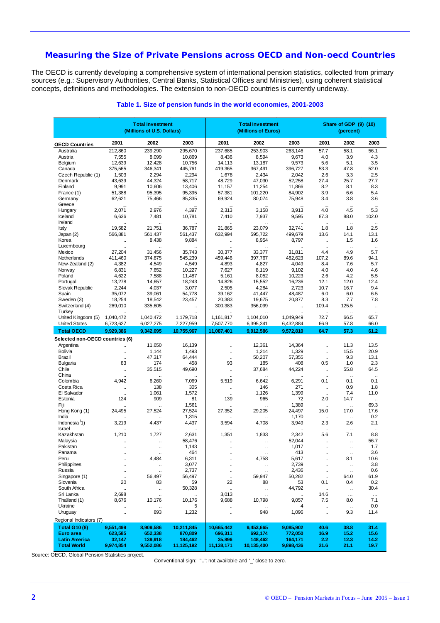## **Measuring the Size of Private Pensions across OECD and Non-oecd Countries**

The OECD is currently developing a comprehensive system of international pension statistics, collected from primary sources (e.g.: Supervisory Authorities, Central Banks, Statistical Offices and Ministries), using coherent statistical concepts, definitions and methodologies. The extension to non-OECD countries is currently underway.

|                                            |                      | <b>Total Investment</b><br>(Millions of U.S. Dollars) |                       |                                   | <b>Total Investment</b><br>(Millions of Euros) | Share of GDP (9) (10)<br>(percent) |                              |                               |                                              |
|--------------------------------------------|----------------------|-------------------------------------------------------|-----------------------|-----------------------------------|------------------------------------------------|------------------------------------|------------------------------|-------------------------------|----------------------------------------------|
| <b>OECD Countries</b>                      | 2001                 | 2002                                                  | 2003                  | 2001                              | 2002                                           | 2003                               | 2001                         | 2002                          | 2003                                         |
| Australia                                  | 212,860              | 239,290                                               | 295,670               | 237,685                           | 253,903                                        | 263,146                            | 57.7                         | 58.1                          | 56.1                                         |
| Austria                                    | 7,555                | 8,099                                                 | 10,869                | 8,436                             | 8,594                                          | 9,673                              | 4.0                          | 3.9                           | 4.3                                          |
| Belgium                                    | 12,639               | 12,428                                                | 10,756                | 14,113                            | 13.187                                         | 9,573                              | 5.6                          | 5.1                           | 3.5                                          |
| Canada                                     | 375,565              | 346,341                                               | 445,761               | 419,365                           | 367,491                                        | 396,727                            | 53.3                         | 47.8                          | 52.0                                         |
| Czech Republic (1)                         | 1,503                | 2,294                                                 | 2,294                 | 1,678                             | 2,434                                          | 2,042                              | 2.6                          | 3.3                           | 2.5                                          |
| Denmark<br>Finland                         | 43,639<br>9,991      | 44,324<br>10,606                                      | 58,717<br>13,406      | 48,729<br>11,157                  | 47,030<br>11,254                               | 52,258<br>11,866                   | 27.4<br>8.2                  | 25.7<br>8.1                   | 27.7<br>8.3                                  |
| France (1)                                 | 51,388               | 95,395                                                | 95,395                | 57,381                            | 101,220                                        | 84,902                             | 3.9                          | 6.6                           | 5.4                                          |
| Germany<br>Greece                          | 62,621               | 75,466                                                | 85,335                | 69,924                            | 80,074                                         | 75,948                             | 3.4                          | 3.8                           | 3.6                                          |
| Hungary                                    | 2,071                | 2,976                                                 | 4,397                 | 2,313                             | 3,158                                          | 3,913                              | 4.0                          | 4.5                           | 5.3                                          |
| Iceland<br>Ireland                         | 6,636                | 7,481                                                 | 10,781                | 7,410                             | 7,937                                          | 9,595                              | 87.3<br>$\ddot{\phantom{a}}$ | 88.0<br>$\sim$                | 102.0<br>$\ddot{\phantom{a}}$                |
| Italy                                      | 19,582               | 21,751                                                | 36,787                | 21,865                            | 23,079                                         | 32,741                             | 1.8                          | 1.8                           | 2.5                                          |
| Japan (2)                                  | 566,881              | 561,437                                               | 561,437               | 632,994                           | 595,722                                        | 499,679                            | 13.6                         | 14.1                          | 13.1                                         |
| Korea                                      |                      | 8,438                                                 | 9,884                 | $\ldots$                          | 8,954                                          | 8,797                              | $\ldots$                     | 1.5                           | 1.6                                          |
| Luxembourg                                 |                      |                                                       |                       |                                   |                                                |                                    | $\mathbf{r}$                 | $\ddotsc$                     |                                              |
| Mexico                                     | 27,204<br>411,460    | 31,456<br>374,875                                     | 35,743<br>545,239     | 30,377<br>459,446                 | 33,377<br>397,767                              | 31,811<br>482,623                  | 4.4<br>107.2                 | 4.9<br>89.6                   | 5.7<br>94.1                                  |
| Netherlands<br>New-Zealand (2)             | 4,382                | 4,549                                                 | 4,549                 | 4,893                             | 4,827                                          | 4,049                              | 8.4                          | 7.6                           | 5.7                                          |
| Norway                                     | 6,831                | 7,652                                                 | 10,227                | 7,627                             | 8,119                                          | 9,102                              | 4.0                          | 4.0                           | 4.6                                          |
| Poland                                     | 4,622                | 7,588                                                 | 11,487                | 5,161                             | 8,052                                          | 10,223                             | 2.6                          | 4.2                           | 5.5                                          |
| Portugal                                   | 13,278               | 14,657                                                | 18,243                | 14,826                            | 15,552                                         | 16,236                             | 12.1                         | 12.0                          | 12.4                                         |
| Slovak Republic                            | 2,244                | 4,037                                                 | 3,077                 | 2,505                             | 4,284                                          | 2,723                              | 10.7                         | 16.7                          | 9.4                                          |
| Spain                                      | 35,072               | 39,061                                                | 54,778                | 39,162                            | 41,447                                         | 48,487                             | 6.0                          | 6.0                           | 6.5                                          |
| Sweden (3)                                 | 18,254               | 18,542                                                | 23,457                | 20,383                            | 19,675                                         | 20,877                             | 8.3                          | 7.7                           | 7.8                                          |
| Switzerland (4)<br>Turkey                  | 269,010              | 335,605                                               | $\mathbf{r}$          | 300,383                           | 356,099                                        | $\ldots$                           | 109.4                        | 125.5<br>$\ddot{\phantom{a}}$ | $\ddot{\phantom{a}}$<br>$\ddot{\phantom{a}}$ |
| United Kingdom (5)                         | 1,040,472            | 1,040,472                                             | 1,179,718             | 1,161,817                         | 1,104,010                                      | 1,049,949                          | 72.7                         | 66.5                          | 65.7                                         |
| <b>United States</b>                       | 6,723,627            | 6,027,275                                             | 7,227,959             | 7,507,770                         | 6,395,341                                      | 6,432,884                          | 66.9                         | 57.8                          | 66.0                                         |
| <b>Total OECD</b>                          | 9,929,386            | 9,342,095                                             | 10,755,967            | 11,087,401                        | 9.912.586                                      | 9.572.810                          | 64.7                         | 57.3                          | 61.2                                         |
| Selected non-OECD countries (6)            |                      |                                                       |                       |                                   |                                                |                                    |                              |                               |                                              |
| Argentina                                  | $\ddot{\phantom{a}}$ | 11,650                                                | 16,139                | $\ddot{\phantom{a}}$              | 12,361                                         | 14,364                             | $\ddot{\phantom{a}}$         | 11.3                          | 13.5                                         |
| <b>Bolivia</b>                             | $\ldots$             | 1,144                                                 | 1,493                 | $\ddot{\phantom{a}}$              | 1,214                                          | 1,329                              | $\ddotsc$                    | 15.5                          | 20.9                                         |
| Brazil                                     | $\bar{\mathbf{u}}$   | 47,317                                                | 64,444                | $\ddot{\phantom{a}}$              | 50,207                                         | 57,355                             | $\ddotsc$                    | 9.3                           | 13.1                                         |
| <b>Bulgaria</b>                            | 83                   | 174                                                   | 458<br>49,690         | 93                                | 185<br>37,684                                  | 408                                | 0.5                          | 1.0<br>55.8                   | 2.3<br>64.5                                  |
| Chile<br>China                             | $\ddotsc$            | 35,515                                                |                       | $\ddot{\phantom{a}}$              |                                                | 44,224                             | $\ddotsc$                    |                               |                                              |
| Colombia                                   | 4,942                | 6,260                                                 | 7,069                 | 5,519                             | 6,642                                          | 6,291                              | $\mathbf{r}$<br>0.1          | $\ddotsc$<br>0.1              | $\ddot{\phantom{a}}$<br>0.1                  |
| Costa Rica                                 | ä,                   | 138                                                   | 305                   | ä,                                | 146                                            | 271                                | ÷.                           | 0.9                           | 1.8                                          |
| El Salvador                                | $\ddot{\phantom{a}}$ | 1,061                                                 | 1,572                 |                                   | 1,126                                          | 1,399                              | $\ddot{\phantom{a}}$         | 7.4                           | 11.0                                         |
| Estonia                                    | 124                  | 909                                                   | 81                    | 139                               | 965                                            | 72                                 | 2.0                          | 14.7                          | $\ddot{\phantom{a}}$                         |
| Fiji                                       |                      |                                                       | 1,561                 |                                   | $\mathbf{r}$                                   | 1,389                              | $\ddot{\phantom{a}}$         | $\ddot{\phantom{1}}$          | 69.3                                         |
| Hong Kong (1)                              | 24,495               | 27,524                                                | 27,524                | 27,352                            | 29,205                                         | 24,497                             | 15.0                         | 17.0                          | 17.6                                         |
| India                                      |                      |                                                       | 1,315                 |                                   |                                                | 1,170                              |                              | ÷.                            | 0.2                                          |
| Indonesia <sup>(1)</sup>                   | 3,219                | 4,437                                                 | 4,437                 | 3,594                             | 4,708                                          | 3,949                              | 2.3                          | 2.6                           | 2.1                                          |
| <b>Israel</b>                              |                      |                                                       | $\ddot{\phantom{a}}$  |                                   |                                                | $\ddot{\phantom{a}}$               | $\ddot{\phantom{a}}$         | $\ddotsc$                     | $\ddot{\phantom{a}}$                         |
| Kazakhstan                                 | 1,210                | 1,727                                                 | 2,631                 | 1,351                             | 1,833                                          | 2,342                              | 5.6                          | 7.1                           | 8.8                                          |
| Malaysia                                   | $\ddotsc$            | $\ddotsc$                                             | 58,476                | $\ddotsc$                         | $\ddotsc$                                      | 52,044                             | $\ddotsc$                    | $\ddotsc$                     | 56.7                                         |
| Pakistan                                   |                      |                                                       | 1,143<br>464          |                                   | ٠.                                             | 1,017<br>413                       | $\ddot{\phantom{a}}$         | ÷.                            | 1.7<br>3.6                                   |
| Panama<br>Peru                             | <br>$\ddotsc$        | 4,484                                                 | 6,311                 | $\ddotsc$<br>$\ddot{\phantom{a}}$ | 4,758                                          | 5,617                              | $\ldots$<br>$\ldots$         | $\cdot$<br>8.1                | 10.6                                         |
| Philippines                                | $\ddotsc$            |                                                       | 3,077                 | $\ddotsc$                         | $\ddotsc$                                      | 2,739                              | $\ddotsc$                    | $\ddotsc$                     | 3.8                                          |
| Russia                                     | $\ddotsc$            | $\ddot{\phantom{a}}$                                  | 2,737                 | $\ldots$                          | $\ddotsc$                                      | 2,436                              | $\ddotsc$                    | $\cdot$                       | 0.6                                          |
| Singapore (1)                              | $\ddotsc$            | 56,497                                                | 56,497                | $\ddot{\phantom{1}}$              | 59,947                                         | 50,282                             | $\ldots$                     | 64.0                          | 61.9                                         |
| Slovenia                                   | 20                   | 83                                                    | 59                    | 22                                | 88                                             | 53                                 | 0.1                          | 0.4                           | 0.2                                          |
| South Africa                               | .,                   | ă,                                                    | 50,328                | $\ddotsc$                         | $\ddotsc$                                      | 44,792                             | $\ddotsc$                    | $\ddotsc$                     | 30.4                                         |
| Sri Lanka                                  | 2,698                | $\ddotsc$                                             |                       | 3,013                             | $\ddot{\phantom{a}}$                           | $\ddot{\phantom{1}}$               | 14.6                         | $\ldots$                      | $\ldots$                                     |
| Thaïland (1)                               | 8,676                | 10,176                                                | 10,176                | 9,688                             | 10,798                                         | 9,057                              | 7.5                          | 8.0                           | 7.1                                          |
| Ukraine                                    |                      |                                                       | 5                     | $\ddotsc$                         |                                                | 4                                  | $\ldots$                     | $\mathbf{u}$                  | 0.0                                          |
| Uruguay                                    | $\ldots$             | 893                                                   | 1,232                 | $\ddotsc$                         | 948                                            | 1,096                              | $\ddotsc$                    | 9.3                           | 11.4                                         |
| Regional Indicators (7)                    |                      |                                                       |                       |                                   |                                                |                                    |                              |                               |                                              |
| <b>Total G10 (8)</b>                       | 9,551,499            | 8,909,586                                             | 10,211,845            | 10,665,442                        | 9,453,665                                      | 9,085,902                          | 40.6                         | 38.8                          | 31.4                                         |
| Euro area                                  | 623,585              | 652,338                                               | 870,809               | 696,311                           | 692,174                                        | 772,050                            | 16.9                         | 15.2                          | 15.6                                         |
| <b>Latin America</b><br><b>Total World</b> | 32,147<br>9,974,854  | 139,918<br>9,552,086                                  | 184,462<br>11,125,192 | 35,896<br>11,138,171              | 148,462<br>10,135,400                          | 164,171<br>9,898,436               | 2.2<br>21.6                  | 12.3<br>21.1                  | 14.2<br>19.7                                 |

#### **Table 1. Size of pension funds in the world economies, 2001-2003**

Source: OECD, Global Pension Statistics project.

Conventional sign: ''..': not available and '\_' close to zero.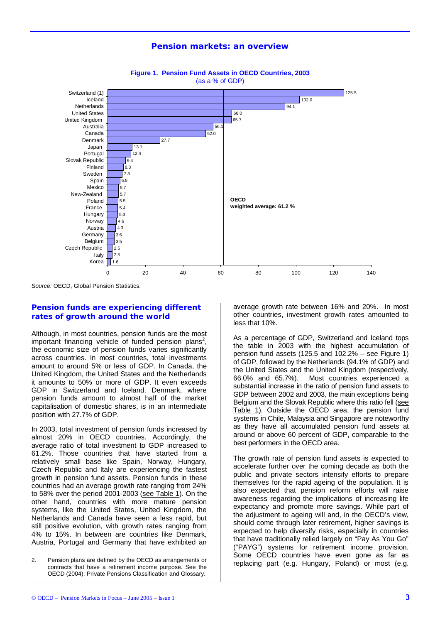## **Pension markets: an overview**



**Figure 1. Pension Fund Assets in OECD Countries, 2003**  (as a % of GDP)

*Source:* OECD, Global Pension Statistics.

## *Pension funds are experiencing different rates of growth around the world*

Although, in most countries, pension funds are the most important financing vehicle of funded pension plans<sup>2</sup>, the economic size of pension funds varies significantly across countries. In most countries, total investments amount to around 5% or less of GDP. In Canada, the United Kingdom, the United States and the Netherlands it amounts to 50% or more of GDP. It even exceeds GDP in Switzerland and Iceland. Denmark, where pension funds amount to almost half of the market capitalisation of domestic shares, is in an intermediate position with 27.7% of GDP.

In 2003, total investment of pension funds increased by almost 20% in OECD countries. Accordingly, the average ratio of total investment to GDP increased to 61.2%. Those countries that have started from a relatively small base like Spain, Norway, Hungary, Czech Republic and Italy are experiencing the fastest growth in pension fund assets. Pension funds in these countries had an average growth rate ranging from 24% to 58% over the period 2001-2003 (see Table 1). On the other hand, countries with more mature pension systems, like the United States, United Kingdom, the Netherlands and Canada have seen a less rapid, but still positive evolution, with growth rates ranging from 4% to 15%. In between are countries like Denmark, Austria, Portugal and Germany that have exhibited an average growth rate between 16% and 20%. In most other countries, investment growth rates amounted to less that 10%.

As a percentage of GDP, Switzerland and Iceland tops the table in 2003 with the highest accumulation of pension fund assets (125.5 and  $102.2%$  – see Figure 1) of GDP, followed by the Netherlands (94.1% of GDP) and the United States and the United Kingdom (respectively, 66.0% and 65.7%). Most countries experienced a substantial increase in the ratio of pension fund assets to GDP between 2002 and 2003, the main exceptions being Belgium and the Slovak Republic where this ratio fell (see Table 1). Outside the OECD area, the pension fund systems in Chile, Malaysia and Singapore are noteworthy as they have all accumulated pension fund assets at around or above 60 percent of GDP, comparable to the best performers in the OECD area.

The growth rate of pension fund assets is expected to accelerate further over the coming decade as both the public and private sectors intensify efforts to prepare themselves for the rapid ageing of the population. It is also expected that pension reform efforts will raise awareness regarding the implications of increasing life expectancy and promote more savings. While part of the adjustment to ageing will and, in the OECD's view, should come through later retirement, higher savings is expected to help diversify risks, especially in countries that have traditionally relied largely on "Pay As You Go" ("PAYG") systems for retirement income provision. Some OECD countries have even gone as far as replacing part (e.g. Hungary, Poland) or most (e.g.

l

<sup>2.</sup> Pension plans are defined by the OECD as arrangements or contracts that have a retirement income purpose. See the OECD (2004), Private Pensions Classification and Glossary.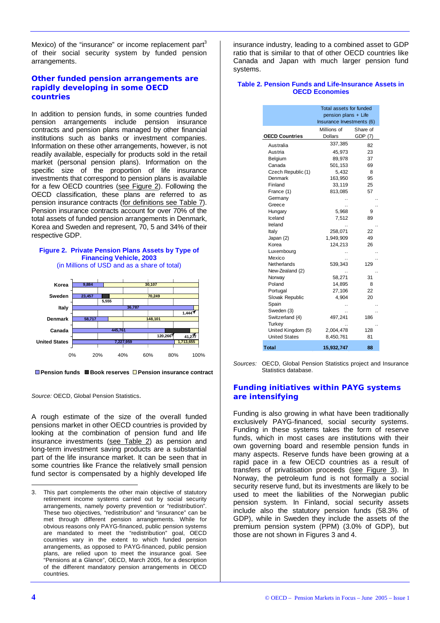Mexico) of the "insurance" or income replacement part<sup>3</sup> of their social security system by funded pension arrangements.

## *Other funded pension arrangements are rapidly developing in some OECD countries*

In addition to pension funds, in some countries funded pension arrangements include pension insurance contracts and pension plans managed by other financial institutions such as banks or investment companies. Information on these other arrangements, however, is not readily available, especially for products sold in the retail market (personal pension plans). Information on the specific size of the proportion of life insurance investments that correspond to pension plans is available for a few OECD countries (see Figure 2). Following the OECD classification, these plans are referred to as pension insurance contracts (for definitions see Table 7). Pension insurance contracts account for over 70% of the total assets of funded pension arrangements in Denmark, Korea and Sweden and represent, 70, 5 and 34% of their respective GDP.

#### **Figure 2. Private Pension Plans Assets by Type of Financing Vehicle, 2003**  (in Millions of USD and as a share of total)



**Pension funds Book reserves Pension insurance contract**

*Source:* OECD, Global Pension Statistics.

A rough estimate of the size of the overall funded pensions market in other OECD countries is provided by looking at the combination of pension fund and life insurance investments (see Table 2) as pension and long-term investment saving products are a substantial part of the life insurance market. It can be seen that in some countries like France the relatively small pension fund sector is compensated by a highly developed life

insurance industry, leading to a combined asset to GDP ratio that is similar to that of other OECD countries like Canada and Japan with much larger pension fund systems.

#### **Table 2. Pension Funds and Life-Insurance Assets in OECD Economies**

|                       | Total assets for funded<br>pension plans + Life<br>Insurance Investments (6) |                     |  |  |  |
|-----------------------|------------------------------------------------------------------------------|---------------------|--|--|--|
| <b>OECD Countries</b> | Millions of<br><b>Dollars</b>                                                | Share of<br>GDP (7) |  |  |  |
| Australia             | 337,385                                                                      | 82                  |  |  |  |
| Austria               | 45,973                                                                       | 23                  |  |  |  |
| Belgium               | 89,978                                                                       | 37                  |  |  |  |
| Canada                | 501,153                                                                      | 69                  |  |  |  |
| Czech Republic (1)    | 5,432                                                                        | 8                   |  |  |  |
| Denmark               | 163,950                                                                      | 95                  |  |  |  |
| Finland               | 33,119                                                                       | 25                  |  |  |  |
| France (1)            | 813,085                                                                      | 57                  |  |  |  |
| Germany<br>Greece     |                                                                              |                     |  |  |  |
| Hungary               | 5,968                                                                        | 9                   |  |  |  |
| Iceland               | 7,512                                                                        | 89                  |  |  |  |
| Ireland               |                                                                              |                     |  |  |  |
| Italy                 | 258,071                                                                      | 22                  |  |  |  |
| Japan (2)             | 1,949,909                                                                    | 49                  |  |  |  |
| Korea                 | 124,213                                                                      | 26                  |  |  |  |
| Luxembourg            |                                                                              |                     |  |  |  |
| Mexico                |                                                                              |                     |  |  |  |
| Netherlands           | 539,343                                                                      | 129                 |  |  |  |
| New-Zealand (2)       |                                                                              |                     |  |  |  |
| Norway                | 58,271                                                                       | 31                  |  |  |  |
| Poland                | 14,895                                                                       | 8                   |  |  |  |
| Portugal              | 27,106                                                                       | 22                  |  |  |  |
| Slovak Republic       | 4,904                                                                        | 20                  |  |  |  |
| Spain                 |                                                                              |                     |  |  |  |
| Sweden (3)            |                                                                              |                     |  |  |  |
| Switzerland (4)       | 497,241                                                                      | 186                 |  |  |  |
| Turkey                |                                                                              |                     |  |  |  |
| United Kingdom (5)    | 2,004,478                                                                    | 128                 |  |  |  |
| <b>United States</b>  | 8,450,761                                                                    | 81                  |  |  |  |
| <b>Total</b>          | 15,932,747                                                                   | 88                  |  |  |  |

*Sources:* OECD, Global Pension Statistics project and Insurance Statistics database.

## *Funding initiatives within PAYG systems are intensifying*

Funding is also growing in what have been traditionally exclusively PAYG-financed, social security systems. Funding in these systems takes the form of reserve funds, which in most cases are institutions with their own governing board and resemble pension funds in many aspects. Reserve funds have been growing at a rapid pace in a few OECD countries as a result of transfers of privatisation proceeds (see Figure 3). In Norway, the petroleum fund is not formally a social security reserve fund, but its investments are likely to be used to meet the liabilities of the Norwegian public pension system. In Finland, social security assets include also the statutory pension funds (58.3% of GDP), while in Sweden they include the assets of the premium pension system (PPM) (3.0% of GDP), but those are not shown in Figures 3 and 4.

l

<sup>3.</sup> This part complements the other main objective of statutory retirement income systems carried out by social security arrangements, namely poverty prevention or "redistribution". These two objectives, "redistribution" and "insurance" can be met through different pension arrangements. While for obvious reasons only PAYG-financed, public pension systems are mandated to meet the "redistribution" goal, OECD countries vary in the extent to which funded pension arrangements, as opposed to PAYG-financed, public pension plans, are relied upon to meet the insurance goal. See "Pensions at a Glance", OECD, March 2005, for a description of the different mandatory pension arrangements in OECD countries.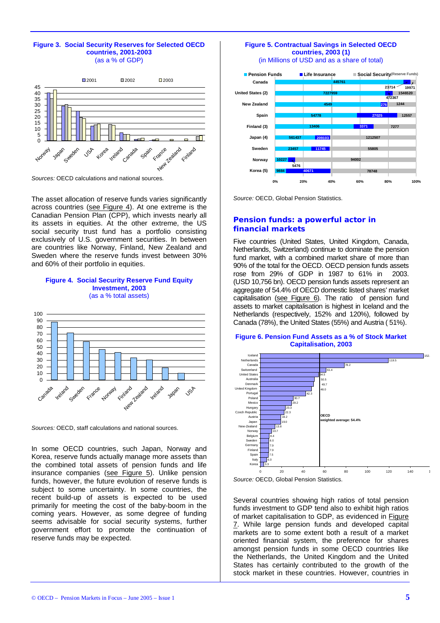#### **Figure 3. Social Security Reserves for Selected OECD countries, 2001-2003**  (as a % of GDP)



*Sources:* OECD calculations and national sources.

The asset allocation of reserve funds varies significantly across countries (see Figure 4). At one extreme is the Canadian Pension Plan (CPP), which invests nearly all its assets in equities. At the other extreme, the US social security trust fund has a portfolio consisting exclusively of U.S. government securities. In between are countries like Norway, Finland, New Zealand and Sweden where the reserve funds invest between 30% and 60% of their portfolio in equities.

#### **Figure 4. Social Security Reserve Fund Equity Investment, 2003**  (as a % total assets)



*Sources:* OECD, staff calculations and national sources.

In some OECD countries, such Japan, Norway and Korea, reserve funds actually manage more assets than the combined total assets of pension funds and life insurance companies (see Figure 5). Unlike pension funds, however, the future evolution of reserve funds is subject to some uncertainty. In some countries, the recent build-up of assets is expected to be used primarily for meeting the cost of the baby-boom in the coming years. However, as some degree of funding seems advisable for social security systems, further government effort to promote the continuation of reserve funds may be expected.

## **Figure 5. Contractual Savings in Selected OECD countries, 2003 (1)**

(in Millions of USD and as a share of total)



*Source:* OECD, Global Pension Statistics.

## *Pension funds: a powerful actor in financial markets*

Five countries (United States, United Kingdom, Canada, Netherlands, Switzerland) continue to dominate the pension fund market, with a combined market share of more than 90% of the total for the OECD. OECD pension funds assets rose from 29% of GDP in 1987 to 61% in 2003. (USD 10,756 bn). OECD pension funds assets represent an aggregate of 54.4% of OECD domestic listed shares' market capitalisation (see Figure  $6$ ). The ratio of pension fund assets to market capitalisation is highest in Iceland and the Netherlands (respectively, 152% and 120%), followed by Canada (78%), the United States (55%) and Austria ( 51%).

#### **Figure 6. Pension Fund Assets as a % of Stock Market Capitalisation, 2003**





Several countries showing high ratios of total pension funds investment to GDP tend also to exhibit high ratios of market capitalisation to GDP, as evidenced in Figure 7. While large pension funds and developed capital markets are to some extent both a result of a market oriented financial system, the preference for shares amongst pension funds in some OECD countries like the Netherlands, the United Kingdom and the United States has certainly contributed to the growth of the stock market in these countries. However, countries in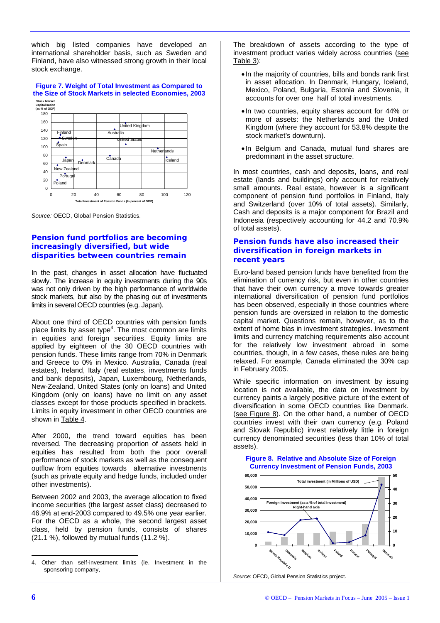which big listed companies have developed an international shareholder basis, such as Sweden and Finland, have also witnessed strong growth in their local stock exchange.

#### **Figure 7. Weight of Total Investment as Compared to the Size of Stock Markets in selected Economies, 2003 Stock Market**



*Source:* OECD, Global Pension Statistics.

## *Pension fund portfolios are becoming increasingly diversified, but wide disparities between countries remain*

In the past, changes in asset allocation have fluctuated slowly. The increase in equity investments during the 90s was not only driven by the high performance of worldwide stock markets, but also by the phasing out of investments limits in several OECD countries (e.g. Japan).

About one third of OECD countries with pension funds place limits by asset type<sup>4</sup>. The most common are limits in equities and foreign securities. Equity limits are applied by eighteen of the 30 OECD countries with pension funds. These limits range from 70% in Denmark and Greece to 0% in Mexico. Australia, Canada (real estates), Ireland, Italy (real estates, investments funds and bank deposits), Japan, Luxembourg, Netherlands, New-Zealand, United States (only on loans) and United Kingdom (only on loans) have no limit on any asset classes except for those products specified in brackets. Limits in equity investment in other OECD countries are shown in Table 4.

After 2000, the trend toward equities has been reversed. The decreasing proportion of assets held in equities has resulted from both the poor overall performance of stock markets as well as the consequent outflow from equities towards alternative investments (such as private equity and hedge funds, included under other investments).

Between 2002 and 2003, the average allocation to fixed income securities (the largest asset class) decreased to 46.9% at end-2003 compared to 49.5% one year earlier. For the OECD as a whole, the second largest asset class, held by pension funds, consists of shares (21.1 %), followed by mutual funds (11.2 %).

The breakdown of assets according to the type of investment product varies widely across countries (see Table 3):

- In the majority of countries, bills and bonds rank first in asset allocation. In Denmark, Hungary, Iceland, Mexico, Poland, Bulgaria, Estonia and Slovenia, it accounts for over one half of total investments.
- In two countries, equity shares account for 44% or more of assets: the Netherlands and the United Kingdom (where they account for 53.8% despite the stock market's downturn).
- In Belgium and Canada, mutual fund shares are predominant in the asset structure.

In most countries, cash and deposits, loans, and real estate (lands and buildings) only account for relatively small amounts. Real estate, however is a significant component of pension fund portfolios in Finland, Italy and Switzerland (over 10% of total assets). Similarly, Cash and deposits is a major component for Brazil and Indonesia (respectively accounting for 44.2 and 70.9% of total assets).

## *Pension funds have also increased their diversification in foreign markets in recent years*

Euro-land based pension funds have benefited from the elimination of currency risk, but even in other countries that have their own currency a move towards greater international diversification of pension fund portfolios has been observed, especially in those countries where pension funds are oversized in relation to the domestic capital market. Questions remain, however, as to the extent of home bias in investment strategies. Investment limits and currency matching requirements also account for the relatively low investment abroad in some countries, though, in a few cases, these rules are being relaxed. For example, Canada eliminated the 30% cap in February 2005.

While specific information on investment by issuing location is not available, the data on investment by currency paints a largely positive picture of the extent of diversification in some OECD countries like Denmark. (see Figure 8). On the other hand, a number of OECD countries invest with their own currency (e.g. Poland and Slovak Republic) invest relatively little in foreign currency denominated securities (less than 10% of total assets).

#### **Figure 8. Relative and Absolute Size of Foreign Currency Investment of Pension Funds, 2003**



*Source:* OECD, Global Pension Statistics project.

 4. Other than self-investment limits (ie. Investment in the sponsoring company,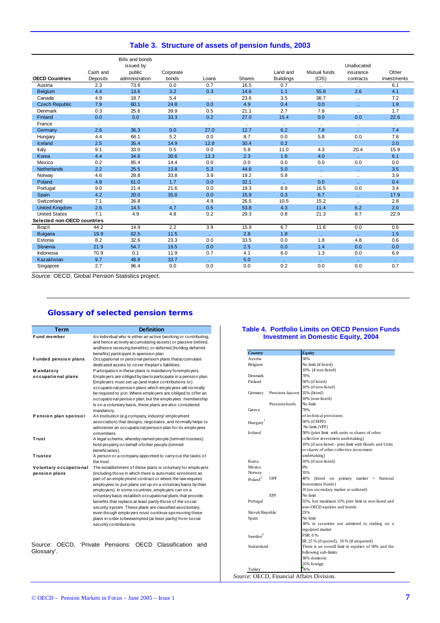|  |  |  |  | Table 3. Structure of assets of pension funds, 2003 |
|--|--|--|--|-----------------------------------------------------|
|--|--|--|--|-----------------------------------------------------|

|                             |           | <b>Bills and bonds</b><br>issued by |           |           |               |                  |                             | Unallocated                 |                             |
|-----------------------------|-----------|-------------------------------------|-----------|-----------|---------------|------------------|-----------------------------|-----------------------------|-----------------------------|
|                             | Cash and  | public                              | Corporate |           |               | Land and         | Mutual funds                | insurance                   | Other                       |
| <b>OECD Countries</b>       | Deposits  | administration                      | bonds     | Loans     | <b>Shares</b> | <b>Buildings</b> | (CIS)                       | contracts                   | investments                 |
| Austria                     | 2.3       | 73.6                                | 0.0       | 0.7       | 16.5          | 0.7              | $\ddotsc$                   | $\ldots$                    | 6.1                         |
| <b>Belgium</b>              | 4.4       | 13.6                                | 3.2       | 0.3       | 14.6          | 1.1              | 55.8                        | 2.6                         | 4.1                         |
| Canada                      | 4.9       | 18.7                                | 5.4       | $\ddotsc$ | 23.6          | 3.5              | 36.7                        | $\ldots$                    | 7.2                         |
| <b>Czech Republic</b>       | 7.9       | 60.1                                | 24.8      | 0.0       | 4.9           | 0.4              | 0.0                         | $\mathbf{r}$ .              | 1.9                         |
| Denmark                     | 0.3       | 25.6                                | 39.9      | 0.5       | 21.1          | 2.7              | 7.8                         | $\ddotsc$                   | 1.7                         |
| Finland                     | 0.0       | 0.0                                 | 33.3      | 0.2       | 27.0          | 15.4             | 0.0                         | 0.0                         | 22.6                        |
| France                      | $\ddotsc$ | $\ddotsc$                           | $\ddotsc$ | $\ddotsc$ | $\ddotsc$     | $\ddotsc$        | $\ddotsc$                   | $\ddotsc$                   | $\ddotsc$                   |
| Germany                     | 2.6       | 36.3                                | 0.0       | 27.0      | 12.7          | 6.2              | 7.8                         | v.                          | 7.4                         |
| Hungary                     | 4.4       | 68.1                                | 5.2       | 0.0       | 8.7           | 0.0              | 5.8                         | 0.0                         | 7.8                         |
| Iceland                     | 2.5       | 35.4                                | 14.9      | 12.8      | 30.4          | 0.2              |                             |                             | 2.0                         |
| Italy                       | 9.1       | 33.0                                | 0.5       | 0.0       | 5.8           | 11.0             | 4.3                         | 20.4                        | 15.9                        |
| Korea                       | 4.4       | 34.6                                | 30.6      | 13.3      | 2.3           | 1.8              | 4.0                         | v.                          | 6.1                         |
| Mexico                      | 0.2       | 85.4                                | 14.4      | 0.0       | 0.0           | 0.0              | 0.0                         | 0.0                         | 0.0                         |
| <b>Netherlands</b>          | 2.2       | 25.5                                | 13.8      | 5.3       | 44.6          | 5.0              | $\mathbf{r}$ .              | ÷.                          | 3.5                         |
| Norway                      | 4.6       | 28.8                                | 33.8      | 3.9       | 19.2          | 5.8              | $\ddotsc$                   | $\ddotsc$                   | 3.9                         |
| Poland                      | 4.8       | 61.0                                | 1.7       | 0.0       | 32.1          | $\mathbf{r}$ .   | 0.0                         | $\mathbf{r}$ .              | 0.4                         |
| Portugal                    | 9.0       | 21.4                                | 21.6      | 0.0       | 19.3          | 8.8              | 16.5                        | 0.0                         | 3.4                         |
| Spain                       | 4.2       | 20.0                                | 35.0      | 0.0       | 15.9          | 0.3              | 6.7                         | v.                          | 17.9                        |
| Switzerland                 | 7.1       | 26.8                                | $\ddotsc$ | 4.9       | 26.5          | 10.5             | 15.2                        | $\ddotsc$                   | 2.8                         |
| <b>United Kingdom</b>       | 2.6       | 14.5                                | 4.7       | 0.5       | 53.8          | 4.3              | 11.4                        | 6.2                         | 2.0                         |
| <b>United States</b>        | 7.1       | 4.9                                 | 4.8       | 0.2       | 29.3          | 0.8              | 21.3                        | 8.7                         | 22.9                        |
| Selected non-OECD countries |           |                                     |           |           |               |                  |                             |                             |                             |
| <b>Brazil</b>               | 44.2      | 14.9                                | 2.2       | 3.9       | 15.9          | 6.7              | 11.6                        | 0.0                         | 0.6                         |
| <b>Bulgaria</b>             | 19.9      | 62.5                                | 11.5      | ο.        | 2.8           | 1.8              | $\mathcal{L}_{\mathcal{A}}$ | $\mathcal{L}_{\mathcal{A}}$ | 1.5                         |
| Estonia                     | 8.2       | 32.6                                | 23.3      | 0.0       | 33.5          | 0.0              | 1.8                         | 4.8                         | 0.6                         |
| Slovenia                    | 21.9      | 54.7                                | 19.5      | 0.0       | 2.5           | 0.0              | 1.4                         | 0.0                         | 0.0                         |
| Indonesia                   | 70.9      | 0.1                                 | 11.9      | 0.7       | 4.1           | 6.0              | 1.3                         | 0.0                         | 6.9                         |
| Kazakhstan                  | 9.7       | 48.8                                | 33.7      | ο.        | 5.0           | ο.               | $\mathbf{r}$ .              | v.                          | $\mathcal{L}_{\mathcal{F}}$ |
| Singapore                   | 2.7       | 96.4                                | 0.0       | 0.0       | 0.0           | 0.2              | 0.0                         | 0.0                         | 0.7                         |

*Source:* OECD, Global Pension Statistics project.

## **Glossary of selected pension terms**

| <b>Term</b>                             | <b>Definition</b>                                                                                                                                                                                                                                                                                                                                                                                                                                                                                                                                                                                                                                |
|-----------------------------------------|--------------------------------------------------------------------------------------------------------------------------------------------------------------------------------------------------------------------------------------------------------------------------------------------------------------------------------------------------------------------------------------------------------------------------------------------------------------------------------------------------------------------------------------------------------------------------------------------------------------------------------------------------|
| Fund member                             | An individual who is either an active (working or contributing,<br>and hence actively accumulating assets) or passive (retired,<br>andhence receiving benefits), or deferred (holding deferred<br>benefits) participant in apension plan.                                                                                                                                                                                                                                                                                                                                                                                                        |
| <b>Funded pension plans</b>             | Occupational or personal pension plans thataccumulate<br>dedicated assets to cover theplan's liabilities.                                                                                                                                                                                                                                                                                                                                                                                                                                                                                                                                        |
| <b>Mandatory</b>                        | Participation in these plans is mandatory foremployers.                                                                                                                                                                                                                                                                                                                                                                                                                                                                                                                                                                                          |
| occupational plans                      | Employers are obliged by law to participate in a pension plan.<br>Employers must set up (and make contributions to)<br>occupational pension plans which employees will normally<br>be required to join. Where employers are obliged to offer an<br>occupational pension plan, but the employees' membership<br>is on a voluntary basis, these plans are also considered<br>mandatory.                                                                                                                                                                                                                                                            |
| Pension plan sponsor                    | An institution (e.g.company, industry/employment<br>association) that designs, negotiates, and normally helps to<br>administer an occupational pension plan for its employees<br>ormembers.                                                                                                                                                                                                                                                                                                                                                                                                                                                      |
| Trust                                   | A legal scheme, whereby named people (termed trustees)<br>hold property on behalf of other people (termed<br>beneficiaries).                                                                                                                                                                                                                                                                                                                                                                                                                                                                                                                     |
| Trustee                                 | A person or a company appointed to carry out the tasks of<br>the trust.                                                                                                                                                                                                                                                                                                                                                                                                                                                                                                                                                                          |
| Voluntary occupational<br>pension plans | The establishment of these plans is voluntary for employers<br>(including those in which there is automatic enrolment as<br>part of an employment contract or where the law requires<br>employees to join plans set up on a voluntary basis by their<br>employers). In some countries, employers can on a<br>voluntary basis establish occupational plans that provide<br>benefits that replace at least partly those of the social<br>security system. These plans are classified asvoluntary,<br>even though employers must continue sponsoring these<br>plans in order to beexempted (at least partly) from social<br>security contributions. |

Source: OECD, 'Private Pensions: OECD Classification and Glossary'.

#### **Table 4. Portfolio Limits on OECD Pension Funds Investment in Domestic Equity, 2004**

| Country              |                      | <b>Equity</b>                                         |
|----------------------|----------------------|-------------------------------------------------------|
| Austria              |                      | 50%                                                   |
| Belgium              |                      | No limit (if listed)                                  |
|                      |                      | 10% (if non-listed)                                   |
| Denmark              |                      | 70%                                                   |
| Finland              |                      | 50% (if listed)                                       |
|                      |                      | 10% (if non-listed)                                   |
| Germany              | Pensions-kassen      | 35% (listed)                                          |
|                      |                      | 10% (non-listed)                                      |
|                      | <b>Pensionsfonds</b> | No limit                                              |
| Greece               |                      | 70%                                                   |
|                      |                      | of technical provisions                               |
| Hungary <sup>1</sup> |                      | 50% (if MPF)                                          |
|                      |                      | No limit (VPF)                                        |
| Iceland              |                      | 50% (joint limit with units or shares of other        |
|                      |                      | collective investment undertaking)                    |
|                      |                      | 10% (if non-listed - joint limit with Bonds and Units |
|                      |                      | or shares of other collective investment              |
|                      |                      | undertaking)                                          |
| Korea                |                      | 10% (if non-listed)                                   |
| Mexico               |                      | 0%                                                    |
| Norway               |                      | 35%                                                   |
| Poland <sup>2</sup>  | OPF                  | 40%<br>(listed on primary market + National           |
|                      |                      | <b>Investment Funds</b> )                             |
|                      |                      | 10 (on secondary market or unlisted)                  |
|                      | <b>FPF</b>           | No limit                                              |
| Portugal             |                      | 55%, but maximum 15% joint limit in non-listed and    |
|                      |                      | non-OECD equities and bonds                           |
| Slovak Republic      |                      | 25%                                                   |
| Spain                |                      | No limit                                              |
|                      |                      | 30% in securities not admitted to trading on a        |
|                      |                      | regulated market                                      |
| Sweden <sup>4</sup>  |                      | <b>FSR: 0%</b>                                        |
|                      |                      | IR: $25%$ (if quoted), $10%$ (if unquoted)            |
| Switzerland          |                      | There is an overall limit in equities of 50% and the  |
|                      |                      | following sub-limits:                                 |
|                      |                      | 30% domestic                                          |
|                      |                      | 25% foreign                                           |
| Turkey               |                      | 76%                                                   |

*Source:* OECD, Financial Affairs Division.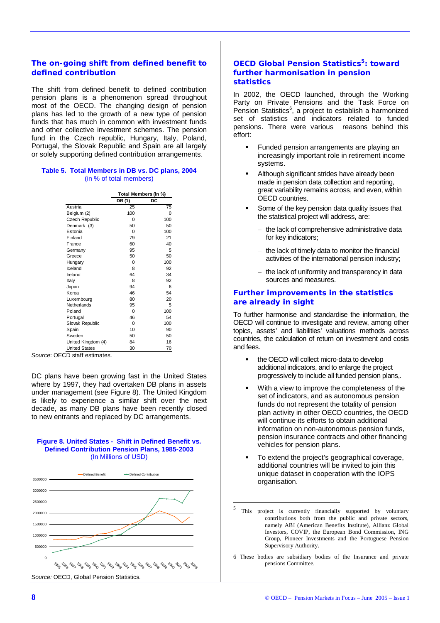## *The on-going shift from defined benefit to defined contribution*

The shift from defined benefit to defined contribution pension plans is a phenomenon spread throughout most of the OECD. The changing design of pension plans has led to the growth of a new type of pension funds that has much in common with investment funds and other collective investment schemes. The pension fund in the Czech republic, Hungary, Italy, Poland, Portugal, the Slovak Republic and Spain are all largely or solely supporting defined contribution arrangements.

#### **Table 5. Total Members in DB vs. DC plans, 2004**  (in % of total members)

|                      | Total Members (in %) |          |  |  |  |
|----------------------|----------------------|----------|--|--|--|
|                      | DB (1)               | DC       |  |  |  |
| Austria              | 25                   | 75       |  |  |  |
| Belgium (2)          | 100                  | $\Omega$ |  |  |  |
| Czech Republic       | 0                    | 100      |  |  |  |
| Denmark (3)          | 50                   | 50       |  |  |  |
| Estonia              | O                    | 100      |  |  |  |
| Finland              | 79                   | 21       |  |  |  |
| France               | 60                   | 40       |  |  |  |
| Germany              | 95                   | 5        |  |  |  |
| Greece               | 50                   | 50       |  |  |  |
| Hungary              | 0                    | 100      |  |  |  |
| Iceland              | 8                    | 92       |  |  |  |
| Ireland              | 64                   | 34       |  |  |  |
| Italy                | 8                    | 92       |  |  |  |
| Japan                | 94                   | 6        |  |  |  |
| Korea                | 46                   | 54       |  |  |  |
| Luxembourg           | 80                   | 20       |  |  |  |
| Netherlands          | 95                   | 5        |  |  |  |
| Poland               | $\Omega$             | 100      |  |  |  |
| Portugal             | 46                   | 54       |  |  |  |
| Slovak Republic      | 0                    | 100      |  |  |  |
| Spain                | 10                   | 90       |  |  |  |
| Sweden               | 50                   | 50       |  |  |  |
| United Kingdom (4)   | 84                   | 16       |  |  |  |
| <b>United States</b> | 30                   | 70       |  |  |  |

*Source*: OECD staff estimates.

DC plans have been growing fast in the United States where by 1997, they had overtaken DB plans in assets under management (see Figure 8). The United Kingdom is likely to experience a similar shift over the next decade, as many DB plans have been recently closed to new entrants and replaced by DC arrangements.

#### **Figure 8. United States - Shift in Defined Benefit vs. Defined Contribution Pension Plans, 1985-2003**  (In Millions of USD)



## *OECD Global Pension Statistics5: toward further harmonisation in pension statistics*

In 2002, the OECD launched, through the Working Party on Private Pensions and the Task Force on Pension Statistics<sup>6</sup>, a project to establish a harmonized set of statistics and indicators related to funded pensions. There were various reasons behind this  $effort$ 

- Funded pension arrangements are playing an increasingly important role in retirement income systems.
- Although significant strides have already been made in pension data collection and reporting, great variability remains across, and even, within OECD countries.
- Some of the key pension data quality issues that the statistical project will address, are:
	- − the lack of comprehensive administrative data for key indicators;
	- − the lack of timely data to monitor the financial activities of the international pension industry;
	- − the lack of uniformity and transparency in data sources and measures.

## *Further improvements in the statistics are already in sight*

To further harmonise and standardise the information, the OECD will continue to investigate and review, among other topics, assets' and liabilities' valuations methods across countries, the calculation of return on investment and costs and fees.

- the OECD will collect micro-data to develop additional indicators, and to enlarge the project progressively to include all funded pension plans,.
- With a view to improve the completeness of the set of indicators, and as autonomous pension funds do not represent the totality of pension plan activity in other OECD countries, the OECD will continue its efforts to obtain additional information on non-autonomous pension funds, pension insurance contracts and other financing vehicles for pension plans.
- To extend the project's geographical coverage, additional countries will be invited to join this unique dataset in cooperation with the IOPS organisation.
- <sup>5</sup> This project is currently financially supported by voluntary contributions both from the public and private sectors, namely ABI (American Benefits Institute), Allianz Global Investors, COVIP, the European Bond Commission, ING Group, Pioneer Investments and the Portuguese Pension Supervisory Authority.

6 These bodies are subsidiary bodies of the Insurance and private pensions Committee.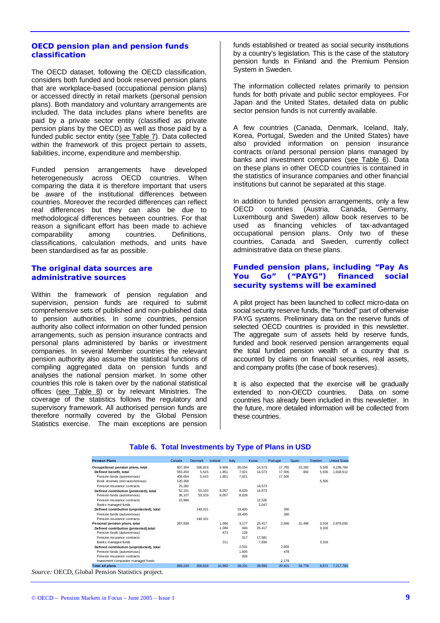## *OECD pension plan and pension funds classification*

The OECD dataset, following the OECD classification, considers both funded and book reserved pension plans that are workplace-based (occupational pension plans) or accessed directly in retail markets (personal pension plans). Both mandatory and voluntary arrangements are included. The data includes plans where benefits are paid by a private sector entity (classified as private pension plans by the OECD) as well as those paid by a funded public sector entity (see Table 7). Data collected within the framework of this project pertain to assets, liabilities, income, expenditure and membership.

Funded pension arrangements have developed heterogeneously across OECD countries. When comparing the data it is therefore important that users be aware of the institutional differences between countries. Moreover the recorded differences can reflect real differences but they can also be due to methodological differences between countries. For that reason a significant effort has been made to achieve comparability among countries. Definitions, classifications, calculation methods, and units have been standardised as far as possible.

#### *The original data sources are administrative sources*

Within the framework of pension regulation and supervision, pension funds are required to submit comprehensive sets of published and non-published data to pension authorities. In some countries, pension authority also collect information on other funded pension arrangements, such as pension insurance contracts and personal plans administered by banks or investment companies. In several Member countries the relevant pension authority also assume the statistical functions of compiling aggregated data on pension funds and analyses the national pension market. In some other countries this role is taken over by the national statistical offices (see Table 8) or by relevant Ministries. The coverage of the statistics follows the regulatory and supervisory framework. All authorised pension funds are therefore normally covered by the Global Pension Statistics exercise. The main exceptions are pension

funds established or treated as social security institutions by a country's legislation. This is the case of the statutory pension funds in Finland and the Premium Pension System in Sweden.

The information collected relates primarily to pension funds for both private and public sector employees. For Japan and the United States, detailed data on public sector pension funds is not currently available.

A few countries (Canada, Denmark, Iceland, Italy, Korea, Portugal, Sweden and the United States) have also provided information on pension insurance contracts or/and personal pension plans managed by banks and investment companies (see Table 6). Data on these plans in other OECD countries is contained in the statistics of insurance companies and other financial institutions but cannot be separated at this stage.

In addition to funded pension arrangements, only a few OECD countries (Austria, Canada, Germany, Luxembourg and Sweden) allow book reserves to be used as financing vehicles of tax-advantaged occupational pension plans. Only two of these countries, Canada and Sweden, currently collect administrative data on these plans.

## *Funded pension plans, including "Pay As You Go" ("PAYG") financed social security systems will be examined*

A pilot project has been launched to collect micro-data on social security reserve funds, the "funded" part of otherwise PAYG systems. Preliminary data on the reserve funds of selected OECD countries is provided in this newsletter. The aggregate sum of assets held by reserve funds, funded and book reserved pension arrangements equal the total funded pension wealth of a country that is accounted by claims on financial securities, real assets, and company profits (the case of book reserves).

It is also expected that the exercise will be gradually extended to non-OECD countries. Data on some countries has already been included in this newsletter. In the future, more detailed information will be collected from these countries.

| <b>Pension Plans</b>                      | Canada  | Denmark | Iceland | Italy  | Korea  | Portugal | Spain  | Sweden | <b>United States</b> |
|-------------------------------------------|---------|---------|---------|--------|--------|----------|--------|--------|----------------------|
| Occupational pension plans, total         | 607.304 | 206.818 | 9.908   | 35.054 | 14.573 | 17.765   | 23.282 | 5.555  | 4.238.784            |
| Defined benefit, total                    | 555.203 | 5.615   | 1.851   | 7.021  | 14.573 | 17.505   | 802    | 5.555  | 1.828.912            |
| Pension funds (autonomous)                | 409,654 | 5.615   | 1.851   | 7.021  |        | 17,505   |        |        |                      |
| Book reserves (non-autonomous)            | 120,266 |         |         |        |        |          |        | 5,555  |                      |
| Pension insurance contracts               | 25,282  |         |         |        | 14.573 |          |        |        |                      |
| Defined contribution (protected), total   | 52.101  | 53.103  | 8.057   | 8.628  | 14.573 |          |        |        |                      |
| Pension funds (autonomous)                | 36.107  | 53.103  | 8,057   | 8,628  |        |          |        |        |                      |
| Pension insurance contracts               | 15,994  |         |         |        | 12,526 |          |        |        |                      |
| Banks managed funds                       |         |         |         |        | 2.047  |          |        |        |                      |
| Defined contribution (unprotected), total |         | 148.101 |         | 19.405 |        | 260      |        |        |                      |
| Pension funds (autonomous)                |         |         |         | 19,405 |        | 260      |        |        |                      |
| Pension insurance contracts               |         | 148.101 |         |        |        |          |        |        |                      |
| Personal pension plans, total             | 287.939 |         | 1.084   | 3.177  | 25.417 | 2.656    | 31,496 | 3.316  | 2.979.000            |
| Defined contribution (protected), total   |         |         | 1.084   | 646    | 25.417 |          |        | 3.316  |                      |
| Pension funds (autonomous)                |         |         | 873     | 128    |        |          |        |        |                      |
| Pension insurance contracts               |         |         |         | 517    | 17.581 |          |        |        |                      |
| Banks managed funds                       |         |         | 211     |        | 7.836  |          |        | 3.316  |                      |
| Defined contribution (unprotected), total |         |         |         | 2.531  |        | 2.656    |        |        |                      |
| Pension funds (autonomous)                |         |         |         | 1.605  |        | 478      |        |        |                      |
| Pension insurance contracts               |         |         |         | 926    |        |          |        |        |                      |
| Investment companies managed funds        |         |         |         |        |        | 2,178    |        |        |                      |
| <b>Total all plans</b>                    | 895.243 | 206.818 | 10.992  | 38,231 | 39.990 | 20,421   | 54,778 | 8.871  | 7.217.784            |
|                                           |         |         |         |        |        |          |        |        |                      |

## **Table 6. Total Investments by Type of Plans in USD**

*Source:* OECD, Global Pension Statistics project.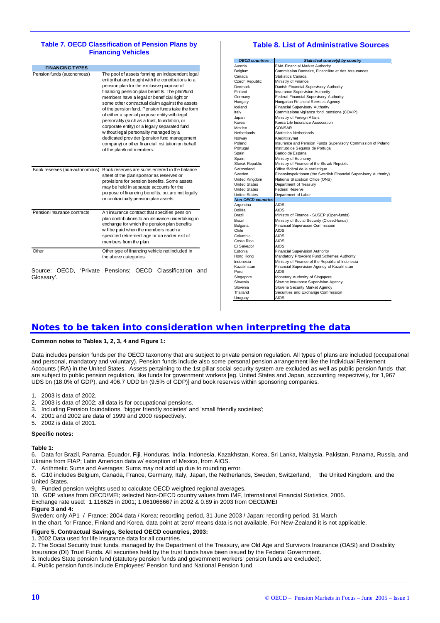#### **Table 7. OECD Classification of Pension Plans by Financing Vehicles**

| Pension funds (autonomous)     | The pool of assets forming an independent legal<br>entity that are bought with the contributions to a<br>pension plan for the exclusive purpose of<br>financing pension plan benefits. The plan/fund<br>members have a legal or beneficial right or<br>some other contractual claim against the assets<br>of the pension fund. Pension funds take the form<br>of either a special purpose entity with legal<br>personality (such as a trust, foundation, or<br>corporate entity) or a legally separated fund<br>without legal personality managed by a<br>dedicated provider (pension fund management<br>company) or other financial institution on behalf<br>of the plan/fund members. |
|--------------------------------|-----------------------------------------------------------------------------------------------------------------------------------------------------------------------------------------------------------------------------------------------------------------------------------------------------------------------------------------------------------------------------------------------------------------------------------------------------------------------------------------------------------------------------------------------------------------------------------------------------------------------------------------------------------------------------------------|
| Book reserves (non-autonomous) | Book reserves are sums entered in the balance<br>sheet of the plan sponsor as reserves or<br>provisions for pension benefits. Some assets<br>may be held in separate accounts for the<br>purpose of financing benefits, but are not legally<br>or contractually pension plan assets.                                                                                                                                                                                                                                                                                                                                                                                                    |
| Pension insurance contracts    | An insurance contract that specifies pension<br>plan contributions to an insurance undertaking in<br>exchange for which the pension plan benefits<br>will be paid when the members reach a<br>specified retirement age or on earlier exit of<br>members from the plan.                                                                                                                                                                                                                                                                                                                                                                                                                  |
| Other                          | Other type of financing vehicle not included in                                                                                                                                                                                                                                                                                                                                                                                                                                                                                                                                                                                                                                         |

## **Table 8. List of Administrative Sources**

| <b>OECD</b> countries     | Statistical source(s) by country                                 |
|---------------------------|------------------------------------------------------------------|
| Austria                   | FMA Financial Market Authority                                   |
| Belaium                   | Commission Bancaire. Financière et des Assurances                |
| Canada                    | Statistics Canada                                                |
| Czech Republic            | Ministry of Finance                                              |
| Denmark                   | Danish Financial Supervisory Authority                           |
| Finland                   | <b>Insurance Supervision Authority</b>                           |
| Germany                   | Federal Financial Supervisory Authority                          |
| Hungary                   | Hungarian Financial Services Agency                              |
| Iceland                   | <b>Financial Supervisory Authority</b>                           |
| Italy                     | Commissione vigilanza fondi pensione (COVIP)                     |
| Japan                     | Ministry of Foreign Affairs                                      |
| Korea                     | Korea Life Insurance Association                                 |
| Mexico                    | CONSAR                                                           |
| Netherlands               | <b>Statistics Netherlands</b>                                    |
| Norwav                    | Kredittilsvnet                                                   |
| Poland                    | Insurance and Pension Funds Supervisory Commission of Poland     |
| Portugal                  | Instituto de Seguros de Portugal                                 |
| Spain                     | Banco de Espana                                                  |
| Spain                     | Ministry of Economy                                              |
| Slovak Republic           | Ministry of Finance of the Slovak Republic                       |
| Switzerland               | Office fédéral de la statistique                                 |
| Sweden                    | Finansinspektionen (the Swedish Financial Supervisory Authority) |
| United Kinadom            | National Statistical Office (ONS)                                |
| <b>United States</b>      | Department of Treasury                                           |
| <b>United States</b>      | Federal Reserve                                                  |
| <b>United States</b>      | Department of Labor                                              |
| <b>Non-OECD countries</b> |                                                                  |
| Argentina                 | AIOS                                                             |
| Bolivia                   | AIOS                                                             |
| Brazil                    | Ministry of Finance - SUSEP (Open-funds)                         |
| Brazil                    | Ministry of Social Security (Closed-funds)                       |
| Bulgaria                  | <b>Financial Supervision Commission</b>                          |
| Chile                     | AIOS                                                             |
| Columbia                  | AIOS                                                             |
| Costa Rica                | AIOS                                                             |
| El Salvador               | AIOS                                                             |
| Estonia                   | <b>Financial Supervision Authority</b>                           |
| Hong Kong                 | Mandatory Provident Fund Schemes Authority                       |
| Indonesia                 | Ministry of Finance of the Republic of Indonesia                 |
| Kazakhstan                | Financial Supervision Agency of Kazakhstan                       |
| Peru                      | AIOS                                                             |
| Singapore                 | Monetary Authority of Singapore                                  |
| Slovenia                  | Slovene Insurance Supervision Agency                             |
| Slovenia                  | Slovene Security Market Agency                                   |
| Thailand                  | Securities and Exchange Commission                               |
| Uruguay                   | AIOS                                                             |
|                           |                                                                  |

## *Notes to be taken into consideration when interpreting the data*

#### **Common notes to Tables 1, 2, 3, 4 and Figure 1:**

Data includes pension funds per the OECD taxonomy that are subject to private pension regulation. All types of plans are included (occupational and personal, mandatory and voluntary). Pension funds include also some personal pension arrangement like the Individual Retirement Accounts (IRA) in the United States. Assets pertaining to the 1st pillar social security system are excluded as well as public pension funds that are subject to public pension regulation, like funds for government workers [eg. United States and Japan, accounting respectively, for 1,967 UDS bn (18.0% of GDP), and 406.7 UDD bn (9.5% of GDP)] and book reserves within sponsoring companies.

- 1. 2003 is data of 2002.<br>2. 2003 is data of 2002:
- 2003 is data of 2002; all data is for occupational pensions.
- 3. Including Pension foundations, 'bigger friendly societies' and 'small friendly societies';
- 4. 2001 and 2002 are data of 1999 and 2000 respectively.
- 5. 2002 is data of 2001.

#### **Specific notes:**

#### **Table 1:**

6. Data for Brazil, Panama, Ecuador, Fiji, Honduras, India, Indonesia, Kazakhstan, Korea, Sri Lanka, Malaysia, Pakistan, Panama, Russia, and Ukraine from FIAP; Latin American data w/ exception of Mexico, from AIOS.

7. Arithmetic Sums and Averages; Sums may not add up due to rounding error.

8. G10 includes Belgium, Canada, France, Germany, Italy, Japan, the Netherlands, Sweden, Switzerland, the United Kingdom, and the United States.

- 9. Funded pension weights used to calculate OECD weighted regional averages.
- 10. GDP values from OECD/MEI; selected Non-OECD country values from IMF, International Financial Statistics, 2005.

Exchange rate used: 1.116625 in 2001; 1.061066667 in 2002 & 0.89 in 2003 from OECD/MEI

#### **Figure 3 and 4:**

Sweden: only AP1 / France: 2004 data / Korea: recording period, 31 June 2003 / Japan: recording period, 31 March

In the chart, for France, Finland and Korea, data point at 'zero' means data is not available. For New-Zealand it is not applicable.

#### **Figure 5. Contractual Savings, Selected OECD countries, 2003:**

1. 2002 Data used for life insurance data for all countries.

2. The Social Security trust funds, managed by the Department of the Treasury, are Old Age and Survivors Insurance (OASI) and Disability Insurance (DI) Trust Funds. All securities held by the trust funds have been issued by the Federal Government.

- 3. Includes State pension fund (statutory pension funds and government workers' pension funds are excluded).
- 4. Public pension funds include Employees' Pension fund and National Pension fund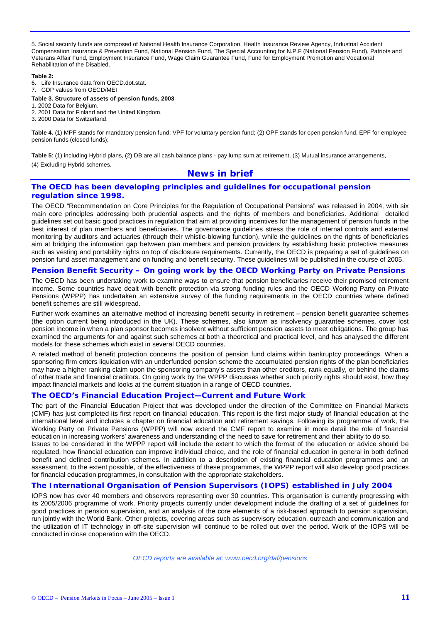5. Social security funds are composed of National Health Insurance Corporation, Health Insurance Review Agency, Industrial Accident Compensation Insurance & Prevention Fund, National Pension Fund, The Special Accounting for N.P.F (National Pension Fund), Patriots and Veterans Affair Fund, Employment Insurance Fund, Wage Claim Guarantee Fund, Fund for Employment Promotion and Vocational Rehabilitation of the Disabled.

#### **Table 2:**

6. Life Insurance data from OECD.dot.stat.

7. GDP values from OECD/MEI

#### **Table 3. Structure of assets of pension funds, 2003**

1. 2002 Data for Belgium.

- 2. 2001 Data for Finland and the United Kingdom.
- 3. 2000 Data for Switzerland.

**Table 4.** (1) MPF stands for mandatory pension fund; VPF for voluntary pension fund; (2) OPF stands for open pension fund, EPF for employee pension funds (closed funds);

**Table 5**: (1) including Hybrid plans, (2) DB are all cash balance plans - pay lump sum at retirement, (3) Mutual insurance arrangements, (4) Excluding Hybrid schemes.

## *News in brief*

## **The OECD has been developing principles and guidelines for occupational pension regulation since 1998.**

The OECD "Recommendation on Core Principles for the Regulation of Occupational Pensions" was released in 2004, with six main core principles addressing both prudential aspects and the rights of members and beneficiaries. Additional detailed guidelines set out basic good practices in regulation that aim at providing incentives for the management of pension funds in the best interest of plan members and beneficiaries. The governance guidelines stress the role of internal controls and external monitoring by auditors and actuaries (through their whistle-blowing function), while the guidelines on the rights of beneficiaries aim at bridging the information gap between plan members and pension providers by establishing basic protective measures such as vesting and portability rights on top of disclosure requirements. Currently, the OECD is preparing a set of guidelines on pension fund asset management and on funding and benefit security. These guidelines will be published in the course of 2005.

#### **Pension Benefit Security – On going work by the OECD Working Party on Private Pensions**

The OECD has been undertaking work to examine ways to ensure that pension beneficiaries receive their promised retirement income. Some countries have dealt with benefit protection via strong funding rules and the OECD Working Party on Private Pensions (WPPP) has undertaken an extensive survey of the funding requirements in the OECD countries where defined benefit schemes are still widespread.

Further work examines an alternative method of increasing benefit security in retirement – pension benefit guarantee schemes (the option current being introduced in the UK). These schemes, also known as insolvency guarantee schemes, cover lost pension income in when a plan sponsor becomes insolvent without sufficient pension assets to meet obligations. The group has examined the arguments for and against such schemes at both a theoretical and practical level, and has analysed the different models for these schemes which exist in several OECD countries.

A related method of benefit protection concerns the position of pension fund claims within bankruptcy proceedings. When a sponsoring firm enters liquidation with an underfunded pension scheme the accumulated pension rights of the plan beneficiaries may have a higher ranking claim upon the sponsoring company's assets than other creditors, rank equally, or behind the claims of other trade and financial creditors. On going work by the WPPP discusses whether such priority rights should exist, how they impact financial markets and looks at the current situation in a range of OECD countries.

#### **The OECD's Financial Education Project—Current and Future Work**

The part of the Financial Education Project that was developed under the direction of the Committee on Financial Markets (CMF) has just completed its first report on financial education. This report is the first major study of financial education at the international level and includes a chapter on financial education and retirement savings. Following its programme of work, the Working Party on Private Pensions (WPPP) will now extend the CMF report to examine in more detail the role of financial education in increasing workers' awareness and understanding of the need to save for retirement and their ability to do so.

Issues to be considered in the WPPP report will include the extent to which the format of the education or advice should be regulated, how financial education can improve individual choice, and the role of financial education in general in both defined benefit and defined contribution schemes. In addition to a description of existing financial education programmes and an assessment, to the extent possible, of the effectiveness of these programmes, the WPPP report will also develop good practices for financial education programmes, in consultation with the appropriate stakeholders.

#### **The International Organisation of Pension Supervisors (IOPS) established in July 2004**

IOPS now has over 40 members and observers representing over 30 countries. This organisation is currently progressing with its 2005/2006 programme of work. Priority projects currently under development include the drafting of a set of guidelines for good practices in pension supervision, and an analysis of the core elements of a risk-based approach to pension supervision, run jointly with the World Bank. Other projects, covering areas such as supervisory education, outreach and communication and the utilization of IT technology in off-site supervision will continue to be rolled out over the period. Work of the IOPS will be conducted in close cooperation with the OECD.

*OECD reports are available at: www.oecd.org/daf/pensions*